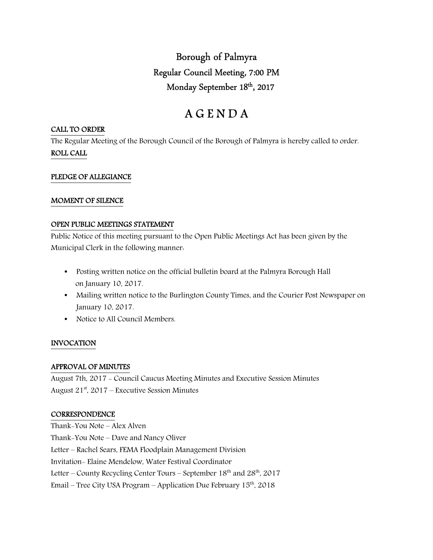Borough of Palmyra Regular Council Meeting, 7:00 PM Monday September 18<sup>th</sup>, 2017

# A G E N D A

#### CALL TO ORDER

The Regular Meeting of the Borough Council of the Borough of Palmyra is hereby called to order. ROLL CALL

# PLEDGE OF ALLEGIANCE

#### MOMENT OF SILENCE

#### OPEN PUBLIC MEETINGS STATEMENT

Public Notice of this meeting pursuant to the Open Public Meetings Act has been given by the Municipal Clerk in the following manner:

- Posting written notice on the official bulletin board at the Palmyra Borough Hall on January 10, 2017.
- Mailing written notice to the Burlington County Times, and the Courier Post Newspaper on January 10, 2017.
- Notice to All Council Members.

# INVOCATION

#### APPROVAL OF MINUTES

August 7th, 2017 - Council Caucus Meeting Minutes and Executive Session Minutes August  $21^{st}$ , 2017 – Executive Session Minutes

# **CORRESPONDENCE**

Thank-You Note – Alex Alven Thank-You Note – Dave and Nancy Oliver Letter – Rachel Sears, FEMA Floodplain Management Division Invitation- Elaine Mendelow, Water Festival Coordinator Letter – County Recycling Center Tours – September 18<sup>th</sup> and 28<sup>th</sup>, 2017 Email – Tree City USA Program – Application Due February  $15<sup>th</sup>$ , 2018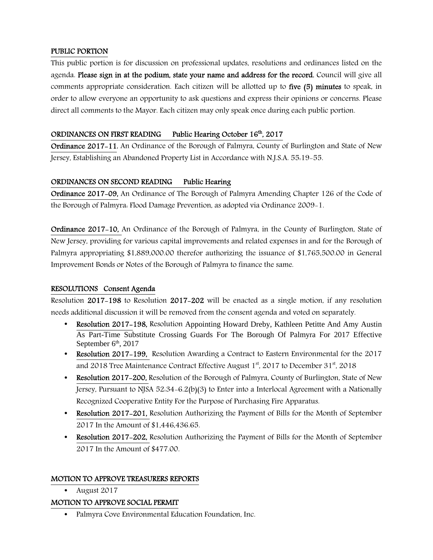# PUBLIC PORTION

This public portion is for discussion on professional updates, resolutions and ordinances listed on the agenda. Please sign in at the podium, state your name and address for the record. Council will give all comments appropriate consideration. Each citizen will be allotted up to five (5) minutes to speak, in order to allow everyone an opportunity to ask questions and express their opinions or concerns. Please direct all comments to the Mayor. Each citizen may only speak once during each public portion.

#### ORDINANCES ON FIRST READING Public Hearing October 16<sup>th</sup>, 2017

Ordinance 2017-11, An Ordinance of the Borough of Palmyra, County of Burlington and State of New Jersey, Establishing an Abandoned Property List in Accordance with N.J.S.A. 55:19-55.

# ORDINANCES ON SECOND READING Public Hearing

Ordinance 2017-09, An Ordinance of The Borough of Palmyra Amending Chapter 126 of the Code of the Borough of Palmyra: Flood Damage Prevention, as adopted via Ordinance 2009-1.

Ordinance 2017-10, An Ordinance of the Borough of Palmyra, in the County of Burlington, State of New Jersey, providing for various capital improvements and related expenses in and for the Borough of Palmyra appropriating \$1,889,000.00 therefor authorizing the issuance of \$1,765,500.00 in General Improvement Bonds or Notes of the Borough of Palmyra to finance the same.

# RESOLUTIONS Consent Agenda

Resolution 2017-198 to Resolution 2017-202 will be enacted as a single motion, if any resolution needs additional discussion it will be removed from the consent agenda and voted on separately.

- Resolution 2017-198, Resolution Appointing Howard Dreby, Kathleen Petitte And Amy Austin As Part-Time Substitute Crossing Guards For The Borough Of Palmyra For 2017 Effective September  $6<sup>th</sup>$ , 2017
- Resolution 2017-199, Resolution Awarding a Contract to Eastern Environmental for the 2017 and 2018 Tree Maintenance Contract Effective August  $1<sup>st</sup>$ , 2017 to December 31 $<sup>st</sup>$ , 2018</sup>
- Resolution 2017–200, Resolution of the Borough of Palmyra, County of Burlington, State of New Jersey, Pursuant to NJSA 52:34-6.2(b)(3) to Enter into a Interlocal Agreement with a Nationally Recognized Cooperative Entity For the Purpose of Purchasing Fire Apparatus.
- Resolution 2017–201, Resolution Authorizing the Payment of Bills for the Month of September 2017 In the Amount of \$1,446,436.65.
- Resolution 2017–202, Resolution Authorizing the Payment of Bills for the Month of September 2017 In the Amount of \$477.00.

# MOTION TO APPROVE TREASURERS REPORTS

• August 2017

# MOTION TO APPROVE SOCIAL PERMIT

• Palmyra Cove Environmental Education Foundation, Inc.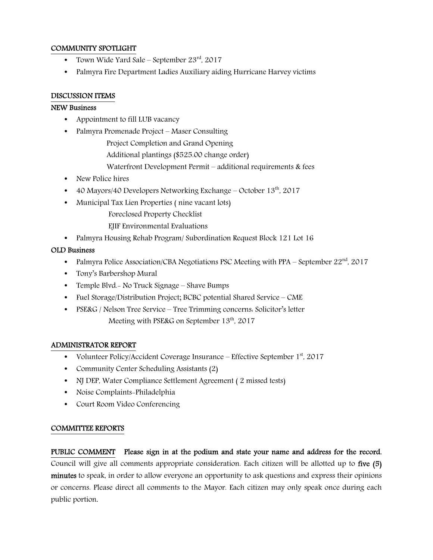# COMMUNITY SPOTLIGHT

- Town Wide Yard Sale September  $23^{\text{rd}}$ , 2017
- Palmyra Fire Department Ladies Auxiliary aiding Hurricane Harvey victims

# DISCUSSION ITEMS

#### NEW Business

- Appointment to fill LUB vacancy
- Palmyra Promenade Project Maser Consulting

Project Completion and Grand Opening

- Additional plantings (\$525.00 change order)
- Waterfront Development Permit additional requirements & fees
- New Police hires
- 40 Mayors/40 Developers Networking Exchange October  $13<sup>th</sup>$ , 2017
- Municipal Tax Lien Properties ( nine vacant lots)
	- Foreclosed Property Checklist
	- EJIF Environmental Evaluations
- Palmyra Housing Rehab Program/ Subordination Request Block 121 Lot 16

# OLD Business

- Palmyra Police Association/CBA Negotiations PSC Meeting with PPA September  $22<sup>nd</sup>$ , 2017
- Tony's Barbershop Mural
- Temple Blvd. No Truck Signage Shave Bumps
- Fuel Storage/Distribution Project; BCBC potential Shared Service CME
- PSE&G / Nelson Tree Service Tree Trimming concerns. Solicitor's letter Meeting with PSE&G on September 13<sup>th</sup>, 2017

# ADMINISTRATOR REPORT

- Volunteer Policy/Accident Coverage Insurance Effective September  $1<sup>st</sup>$ , 2017
- Community Center Scheduling Assistants (2)
- NJ DEP, Water Compliance Settlement Agreement (2 missed tests)
- Noise Complaints-Philadelphia
- Court Room Video Conferencing

# COMMITTEE REPORTS

PUBLIC COMMENT Please sign in at the podium and state your name and address for the record. Council will give all comments appropriate consideration. Each citizen will be allotted up to five (5) minutes to speak, in order to allow everyone an opportunity to ask questions and express their opinions or concerns. Please direct all comments to the Mayor. Each citizen may only speak once during each public portion.